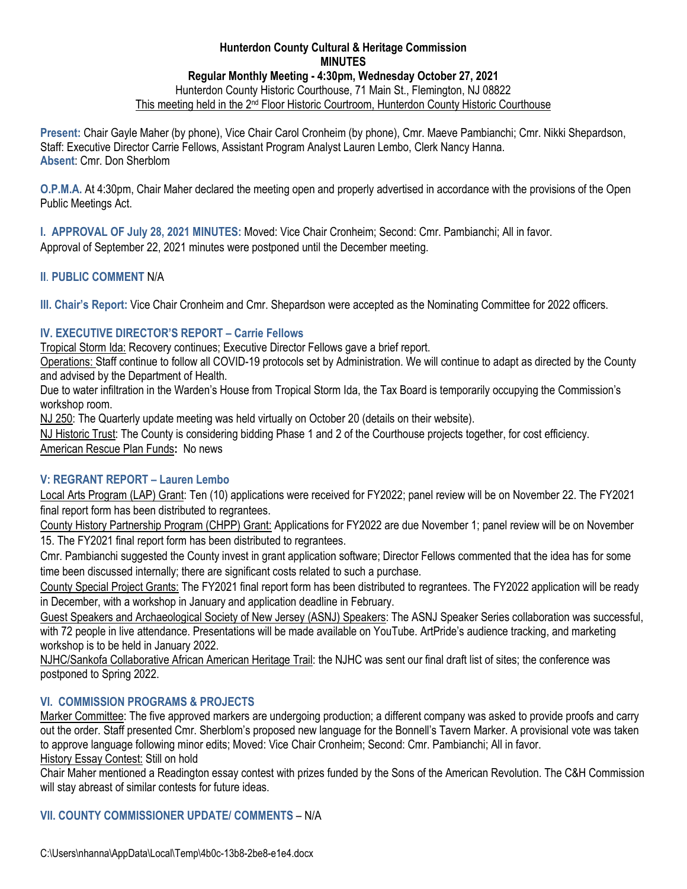### **Hunterdon County Cultural & Heritage Commission MINUTES Regular Monthly Meeting - 4:30pm, Wednesday October 27, 2021**  Hunterdon County Historic Courthouse, 71 Main St., Flemington, NJ 08822 This meeting held in the 2nd Floor Historic Courtroom, Hunterdon County Historic Courthouse

**Present:** Chair Gayle Maher (by phone), Vice Chair Carol Cronheim (by phone), Cmr. Maeve Pambianchi; Cmr. Nikki Shepardson, Staff: Executive Director Carrie Fellows, Assistant Program Analyst Lauren Lembo, Clerk Nancy Hanna. **Absent**: Cmr. Don Sherblom

**O.P.M.A.** At 4:30pm, Chair Maher declared the meeting open and properly advertised in accordance with the provisions of the Open Public Meetings Act.

**I. APPROVAL OF July 28, 2021 MINUTES:** Moved: Vice Chair Cronheim; Second: Cmr. Pambianchi; All in favor. Approval of September 22, 2021 minutes were postponed until the December meeting.

## **II**. **PUBLIC COMMENT** N/A

**III. Chair's Report:** Vice Chair Cronheim and Cmr. Shepardson were accepted as the Nominating Committee for 2022 officers.

# **IV. EXECUTIVE DIRECTOR'S REPORT – Carrie Fellows**

Tropical Storm Ida: Recovery continues; Executive Director Fellows gave a brief report.

Operations: Staff continue to follow all COVID-19 protocols set by Administration. We will continue to adapt as directed by the County and advised by the Department of Health.

Due to water infiltration in the Warden's House from Tropical Storm Ida, the Tax Board is temporarily occupying the Commission's workshop room.

NJ 250: The Quarterly update meeting was held virtually on October 20 (details on their website).

NJ Historic Trust: The County is considering bidding Phase 1 and 2 of the Courthouse projects together, for cost efficiency. American Rescue Plan Funds**:** No news

## **V: REGRANT REPORT – Lauren Lembo**

Local Arts Program (LAP) Grant: Ten (10) applications were received for FY2022; panel review will be on November 22. The FY2021 final report form has been distributed to regrantees.

County History Partnership Program (CHPP) Grant: Applications for FY2022 are due November 1; panel review will be on November 15. The FY2021 final report form has been distributed to regrantees.

Cmr. Pambianchi suggested the County invest in grant application software; Director Fellows commented that the idea has for some time been discussed internally; there are significant costs related to such a purchase.

County Special Project Grants: The FY2021 final report form has been distributed to regrantees. The FY2022 application will be ready in December, with a workshop in January and application deadline in February.

Guest Speakers and Archaeological Society of New Jersey (ASNJ) Speakers: The ASNJ Speaker Series collaboration was successful, with 72 people in live attendance. Presentations will be made available on YouTube. ArtPride's audience tracking, and marketing workshop is to be held in January 2022.

NJHC/Sankofa Collaborative African American Heritage Trail: the NJHC was sent our final draft list of sites; the conference was postponed to Spring 2022.

### **VI. COMMISSION PROGRAMS & PROJECTS**

Marker Committee: The five approved markers are undergoing production; a different company was asked to provide proofs and carry out the order. Staff presented Cmr. Sherblom's proposed new language for the Bonnell's Tavern Marker. A provisional vote was taken to approve language following minor edits; Moved: Vice Chair Cronheim; Second: Cmr. Pambianchi; All in favor. History Essay Contest: Still on hold

Chair Maher mentioned a Readington essay contest with prizes funded by the Sons of the American Revolution. The C&H Commission will stay abreast of similar contests for future ideas.

**VII. COUNTY COMMISSIONER UPDATE/ COMMENTS** – N/A